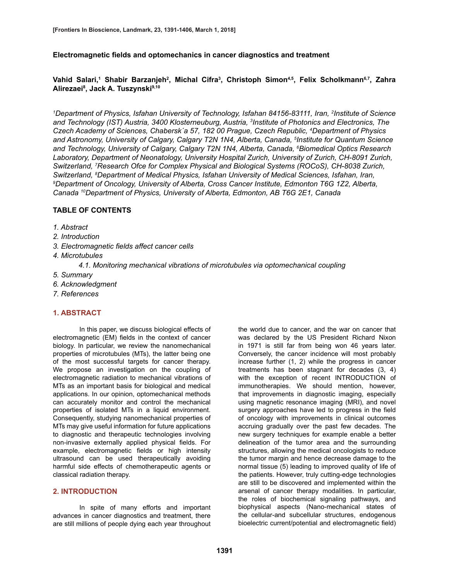## **Electromagnetic fields and optomechanics in cancer diagnostics and treatment**

# **Vahid Salari,<sup>1</sup> Shabir Barzanjeh<sup>2</sup> , Michal Cifra<sup>3</sup> , Christoph Simon4,5, Felix Scholkmann6,7, Zahra Alirezaei<sup>8</sup> , Jack A. Tuszynski9,10**

*1 Department of Physics, Isfahan University of Technology, Isfahan 84156-83111, Iran, 2 Institute of Science and Technology (IST) Austria, 3400 Klosterneuburg, Austria, 3 Institute of Photonics and Electronics, The Czech Academy of Sciences, Chabersk´a 57, 182 00 Prague, Czech Republic, 4 Department of Physics and Astronomy, University of Calgary, Calgary T2N 1N4, Alberta, Canada, 5 Institute for Quantum Science and Technology, University of Calgary, Calgary T2N 1N4, Alberta, Canada, 6 Biomedical Optics Research Laboratory, Department of Neonatology, University Hospital Zurich, University of Zurich, CH-8091 Zurich, Switzerland, 7 Research Ofce for Complex Physical and Biological Systems (ROCoS), CH-8038 Zurich, Switzerland, 8 Department of Medical Physics, Isfahan University of Medical Sciences, Isfahan, Iran, 9 Department of Oncology, University of Alberta, Cross Cancer Institute, Edmonton T6G 1Z2, Alberta, Canada 10Department of Physics, University of Alberta, Edmonton, AB T6G 2E1, Canada* 

# **TABLE OF CONTENTS**

- *1. Abstract*
- *2. Introduction*
- *3. Electromagnetic felds affect cancer cells*
- *4. Microtubules*
	- *4.1. Monitoring mechanical vibrations of microtubules via optomechanical coupling*
- *5. Summary*
- *6. Acknowledgment*
- *7. References*

## **1. ABSTRACT**

In this paper, we discuss biological effects of electromagnetic (EM) fields in the context of cancer biology. In particular, we review the nanomechanical properties of microtubules (MTs), the latter being one of the most successful targets for cancer therapy. We propose an investigation on the coupling of electromagnetic radiation to mechanical vibrations of MTs as an important basis for biological and medical applications. In our opinion, optomechanical methods can accurately monitor and control the mechanical properties of isolated MTs in a liquid environment. Consequently, studying nanomechanical properties of MTs may give useful information for future applications to diagnostic and therapeutic technologies involving non-invasive externally applied physical fields. For example, electromagnetic fields or high intensity ultrasound can be used therapeutically avoiding harmful side effects of chemotherapeutic agents or classical radiation therapy.

#### **2. INTRODUCTION**

In spite of many efforts and important advances in cancer diagnostics and treatment, there are still millions of people dying each year throughout the world due to cancer, and the war on cancer that was declared by the US President Richard Nixon in 1971 is still far from being won 46 years later. Conversely, the cancer incidence will most probably increase further (1, 2) while the progress in cancer treatments has been stagnant for decades (3, 4) with the exception of recent INTRODUCTION of immunotherapies. We should mention, however, that improvements in diagnostic imaging, especially using magnetic resonance imaging (MRI), and novel surgery approaches have led to progress in the field of oncology with improvements in clinical outcomes accruing gradually over the past few decades. The new surgery techniques for example enable a better delineation of the tumor area and the surrounding structures, allowing the medical oncologists to reduce the tumor margin and hence decrease damage to the normal tissue (5) leading to improved quality of life of the patients. However, truly cutting-edge technologies are still to be discovered and implemented within the arsenal of cancer therapy modalities. In particular, the roles of biochemical signaling pathways, and biophysical aspects (Nano-mechanical states of the cellular-and subcellular structures, endogenous bioelectric current/potential and electromagnetic field)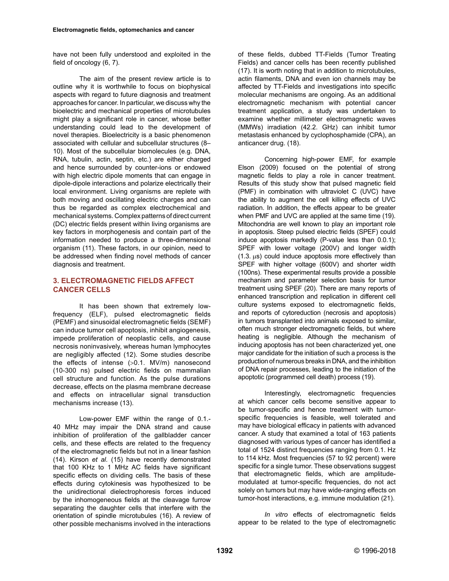have not been fully understood and exploited in the field of oncology (6, 7).

The aim of the present review article is to outline why it is worthwhile to focus on biophysical aspects with regard to future diagnosis and treatment approaches for cancer. In particular, we discuss why the bioelectric and mechanical properties of microtubules might play a significant role in cancer, whose better understanding could lead to the development of novel therapies. Bioelectricity is a basic phenomenon associated with cellular and subcellular structures (8– 10). Most of the subcellular biomolecules (e.g. DNA, RNA, tubulin, actin, septin, etc.) are either charged and hence surrounded by counter-ions or endowed with high electric dipole moments that can engage in dipole-dipole interactions and polarize electrically their local environment. Living organisms are replete with both moving and oscillating electric charges and can thus be regarded as complex electrochemical and mechanical systems. Complex patterns of direct current (DC) electric fields present within living organisms are key factors in morphogenesis and contain part of the information needed to produce a three-dimensional organism (11). These factors, in our opinion, need to be addressed when finding novel methods of cancer diagnosis and treatment.

## **3. ELECTROMAGNETIC FIELDS AFFECT CANCER CELLS**

It has been shown that extremely lowfrequency (ELF), pulsed electromagnetic fields (PEMF) and sinusoidal electromagnetic fields (SEMF) can induce tumor cell apoptosis, inhibit angiogenesis, impede proliferation of neoplastic cells, and cause necrosis noninvasively, whereas human lymphocytes are negligibly affected (12). Some studies describe the effects of intense (>0.1. MV/m) nanosecond (10-300 ns) pulsed electric fields on mammalian cell structure and function. As the pulse durations decrease, effects on the plasma membrane decrease and effects on intracellular signal transduction mechanisms increase (13).

Low-power EMF within the range of 0.1.- 40 MHz may impair the DNA strand and cause inhibition of proliferation of the gallbladder cancer cells, and these effects are related to the frequency of the electromagnetic fields but not in a linear fashion (14). Kirson *et al.* (15) have recently demonstrated that 100 KHz to 1 MHz AC fields have significant specific effects on dividing cells. The basis of these effects during cytokinesis was hypothesized to be the unidirectional dielectrophoresis forces induced by the inhomogeneous fields at the cleavage furrow separating the daughter cells that interfere with the orientation of spindle microtubules (16). A review of other possible mechanisms involved in the interactions of these fields, dubbed TT-Fields (Tumor Treating Fields) and cancer cells has been recently published (17). It is worth noting that in addition to microtubules, actin filaments, DNA and even ion channels may be affected by TT-Fields and investigations into specific molecular mechanisms are ongoing. As an additional electromagnetic mechanism with potential cancer treatment application, a study was undertaken to examine whether millimeter electromagnetic waves (MMWs) irradiation (42.2. GHz) can inhibit tumor metastasis enhanced by cyclophosphamide (CPA), an anticancer drug. (18).

Concerning high-power EMF, for example Elson (2009) focused on the potential of strong magnetic fields to play a role in cancer treatment. Results of this study show that pulsed magnetic field (PMF) in combination with ultraviolet C (UVC) have the ability to augment the cell killing effects of UVC radiation. In addition, the effects appear to be greater when PMF and UVC are applied at the same time (19). Mitochondria are well known to play an important role in apoptosis. Steep pulsed electric fields (SPEF) could induce apoptosis markedly (P-value less than 0.0.1); SPEF with lower voltage (200V) and longer width  $(1.3. \mu s)$  could induce apoptosis more effectively than SPEF with higher voltage (600V) and shorter width (100ns). These experimental results provide a possible mechanism and parameter selection basis for tumor treatment using SPEF (20). There are many reports of enhanced transcription and replication in different cell culture systems exposed to electromagnetic fields, and reports of cytoreduction (necrosis and apoptosis) in tumors transplanted into animals exposed to similar, often much stronger electromagnetic fields, but where heating is negligible. Although the mechanism of inducing apoptosis has not been characterized yet, one major candidate for the initiation of such a process is the production of numerous breaks in DNA, and the inhibition of DNA repair processes, leading to the initiation of the apoptotic (programmed cell death) process (19).

Interestingly, electromagnetic frequencies at which cancer cells become sensitive appear to be tumor-specific and hence treatment with tumorspecific frequencies is feasible, well tolerated and may have biological efficacy in patients with advanced cancer. A study that examined a total of 163 patients diagnosed with various types of cancer has identified a total of 1524 distinct frequencies ranging from 0.1. Hz to 114 kHz. Most frequencies (57 to 92 percent) were specific for a single tumor. These observations suggest that electromagnetic fields, which are amplitudemodulated at tumor-specific frequencies, do not act solely on tumors but may have wide-ranging effects on tumor-host interactions, e.g. immune modulation (21).

*In vitro* effects of electromagnetic fields appear to be related to the type of electromagnetic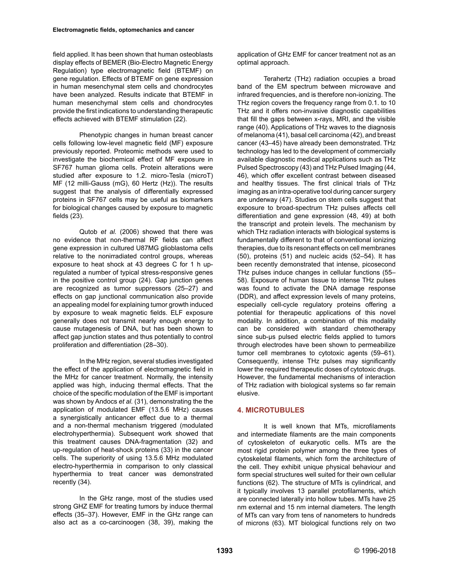field applied. It has been shown that human osteoblasts display effects of BEMER (Bio-Electro Magnetic Energy Regulation) type electromagnetic field (BTEMF) on gene regulation. Effects of BTEMF on gene expression in human mesenchymal stem cells and chondrocytes have been analyzed. Results indicate that BTEMF in human mesenchymal stem cells and chondrocytes provide the first indications to understanding therapeutic effects achieved with BTEMF stimulation (22).

Phenotypic changes in human breast cancer cells following low-level magnetic field (MF) exposure previously reported. Proteomic methods were used to investigate the biochemical effect of MF exposure in SF767 human glioma cells. Protein alterations were studied after exposure to 1.2. micro-Tesla (microT) MF (12 milli-Gauss (mG), 60 Hertz (Hz)). The results suggest that the analysis of differentially expressed proteins in SF767 cells may be useful as biomarkers for biological changes caused by exposure to magnetic fields (23).

Qutob *et al.* (2006) showed that there was no evidence that non-thermal RF fields can affect gene expression in cultured U87MG glioblastoma cells relative to the nonirradiated control groups, whereas exposure to heat shock at 43 degrees C for 1 h upregulated a number of typical stress-responsive genes in the positive control group (24). Gap junction genes are recognized as tumor suppressors (25–27) and effects on gap junctional communication also provide an appealing model for explaining tumor growth induced by exposure to weak magnetic fields. ELF exposure generally does not transmit nearly enough energy to cause mutagenesis of DNA, but has been shown to affect gap junction states and thus potentially to control proliferation and differentiation (28–30).

In the MHz region, several studies investigated the effect of the application of electromagnetic field in the MHz for cancer treatment. Normally, the intensity applied was high, inducing thermal effects. That the choice of the specific modulation of the EMF is important was shown by Andocs *et al.* (31), demonstrating the the application of modulated EMF (13.5.6 MHz) causes a synergistically anticancer effect due to a thermal and a non-thermal mechanism triggered (modulated electrohyperthermia). Subsequent work showed that this treatment causes DNA-fragmentation (32) and up-regulation of heat-shock proteins (33) in the cancer cells. The superiority of using 13.5.6 MHz modulated electro-hyperthermia in comparison to only classical hyperthermia to treat cancer was demonstrated recently (34).

In the GHz range, most of the studies used strong GHZ EMF for treating tumors by induce thermal effects (35–37). However, EMF in the GHz range can also act as a co-carcinoogen (38, 39), making the

application of GHz EMF for cancer treatment not as an optimal approach.

Terahertz (THz) radiation occupies a broad band of the EM spectrum between microwave and infrared frequencies, and is therefore non-ionizing. The THz region covers the frequency range from 0.1. to 10 THz and it offers non-invasive diagnostic capabilities that fill the gaps between x-rays, MRI, and the visible range (40). Applications of THz waves to the diagnosis of melanoma (41), basal cell carcinoma (42), and breast cancer (43–45) have already been demonstrated. THz technology has led to the development of commercially available diagnostic medical applications such as THz Pulsed Spectroscopy (43) and THz Pulsed Imaging (44, 46), which offer excellent contrast between diseased and healthy tissues. The first clinical trials of THz imaging as an intra-operative tool during cancer surgery are underway (47). Studies on stem cells suggest that exposure to broad-spectrum THz pulses affects cell differentiation and gene expression (48, 49) at both the transcript and protein levels. The mechanism by which THz radiation interacts with biological systems is fundamentally different to that of conventional ionizing therapies, due to its resonant effects on cell membranes (50), proteins (51) and nucleic acids (52–54). It has been recently demonstrated that intense, picosecond THz pulses induce changes in cellular functions (55– 58). Exposure of human tissue to intense THz pulses was found to activate the DNA damage response (DDR), and affect expression levels of many proteins, especially cell-cycle regulatory proteins offering a potential for therapeutic applications of this novel modality. In addition, a combination of this modality can be considered with standard chemotherapy since sub-µs pulsed electric fields applied to tumors through electrodes have been shown to permeabilize tumor cell membranes to cytotoxic agents (59–61). Consequently, intense THz pulses may significantly lower the required therapeutic doses of cytotoxic drugs. However, the fundamental mechanisms of interaction of THz radiation with biological systems so far remain elusive.

## **4. MICROTUBULES**

It is well known that MTs, microfilaments and intermediate filaments are the main components of cytoskeleton of eukaryotic cells. MTs are the most rigid protein polymer among the three types of cytoskeletal filaments, which form the architecture of the cell. They exhibit unique physical behaviour and form special structures well suited for their own cellular functions (62). The structure of MTs is cylindrical, and it typically involves 13 parallel protofilaments, which are connected laterally into hollow tubes. MTs have 25 nm external and 15 nm internal diameters. The length of MTs can vary from tens of nanometers to hundreds of microns (63). MT biological functions rely on two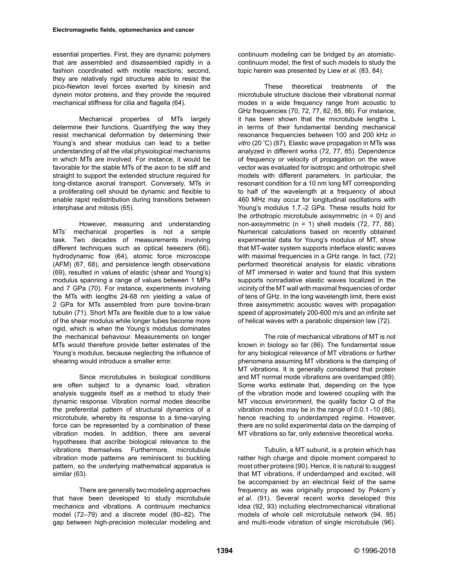essential properties. First, they are dynamic polymers that are assembled and disassembled rapidly in a fashion coordinated with motile reactions; second, they are relatively rigid structures able to resist the pico-Newton level forces exerted by kinesin and dynein motor proteins, and they provide the required mechanical stiffness for cilia and flagella (64).

Mechanical properties of MTs largely determine their functions. Quantifying the way they resist mechanical deformation by determining their Young's and shear modulus can lead to a better understanding of all the vital physiological mechanisms in which MTs are involved. For instance, it would be favorable for the stable MTs of the axon to be stiff and straight to support the extended structure required for long-distance axonal transport. Conversely, MTs in a proliferating cell should be dynamic and flexible to enable rapid redistribution during transitions between interphase and mitosis (65).

However, measuring and understanding MTs' mechanical properties is not a simple task. Two decades of measurements involving different techniques such as optical tweezers (66), hydrodynamic flow (64), atomic force microscope (AFM) (67, 68), and persistence length observations (69), resulted in values of elastic (shear and Young's) modulus spanning a range of values between 1 MPa and 7 GPa (70). For instance, experiments involving the MTs with lengths 24-68 nm yielding a value of 2 GPa for MTs assembled from pure bovine-brain tubulin (71). Short MTs are flexible due to a low value of the shear modulus while longer tubes become more rigid, which is when the Young's modulus dominates the mechanical behaviour. Measurements on longer MTs would therefore provide better estimates of the Young's modulus, because neglecting the influence of shearing would introduce a smaller error.

Since microtubules in biological conditions are often subject to a dynamic load, vibration analysis suggests itself as a method to study their dynamic response. Vibration normal modes describe the preferential pattern of structural dynamics of a microtubule, whereby its response to a time-varying force can be represented by a combination of these vibration modes. In addition, there are several hypotheses that ascribe biological relevance to the vibrations themselves. Furthermore, microtubule vibration mode patterns are reminiscent to buckling pattern, so the underlying mathematical apparatus is similar (63).

There are generally two modeling approaches that have been developed to study microtubule mechanics and vibrations. A continuum mechanics model (72–79) and a discrete model (80–82). The gap between high-precision molecular modeling and continuum modeling can be bridged by an atomisticcontinuum model; the first of such models to study the topic herein was presented by Liew *et al.* (83, 84).

These theoretical treatments of the microtubule structure disclose their vibrational normal modes in a wide frequency range from acoustic to GHz frequencies (70, 72, 77, 82, 85, 86). For instance, it has been shown that the microtubule lengths L in terms of their fundamental bending mechanical resonance frequencies between 100 and 200 kHz *in vitro* (20 **°** C) (87). Elastic wave propagation in MTs was analyzed in different works (72, 77, 85). Dependence of frequency or velocity of propagation on the wave vector was evaluated for isotropic and orthotropic shell models with different parameters. In particular, the resonant condition for a 10 nm long MT corresponding to half of the wavelength at a frequency of about 460 MHz may occur for longitudinal oscillations with Young's modulus 1.7.-2 GPa. These results hold for the orthotropic microtubule axisymmetric  $(n = 0)$  and non-axisymmetric ( $n = 1$ ) shell models (72, 77, 88). Numerical calculations based on recently obtained experimental data for Young's modulus of MT, show that MT-water system supports interface elastic waves with maximal frequencies in a GHz range. In fact, (72) performed theoretical analysis for elastic vibrations of MT immersed in water and found that this system supports nonradiative elastic waves localized in the vicinity of the MT wall with maximal frequencies of order of tens of GHz. In the long wavelength limit, there exist three axisymmetric acoustic waves with propagation speed of approximately 200-600 m/s and an infinite set of helical waves with a parabolic dispersion law (72).

The role of mechanical vibrations of MT is not known in biology so far (86). The fundamental issue for any biological relevance of MT vibrations or further phenomena assuming MT vibrations is the damping of MT vibrations. It is generally considered that protein and MT normal mode vibrations are overdamped (89). Some works estimate that, depending on the type of the vibration mode and lowered coupling with the MT viscous environment, the quality factor Q of the vibration modes may be in the range of 0.0.1 -10 (86), hence reaching to underdamped regime. However, there are no solid experimental data on the damping of MT vibrations so far, only extensive theoretical works.

Tubulin, a MT subunit, is a protein which has rather high charge and dipole moment compared to most other proteins (90). Hence, it is natural to suggest that MT vibrations, if underdamped and excited, will be accompanied by an electrical field of the same frequency as was originally proposed by Pokorn´y *et al.* (91). Several recent works developed this idea (92, 93) including electromechanical vibrational models of whole cell microtubule network (94, 95) and multi-mode vibration of single microtubule (96).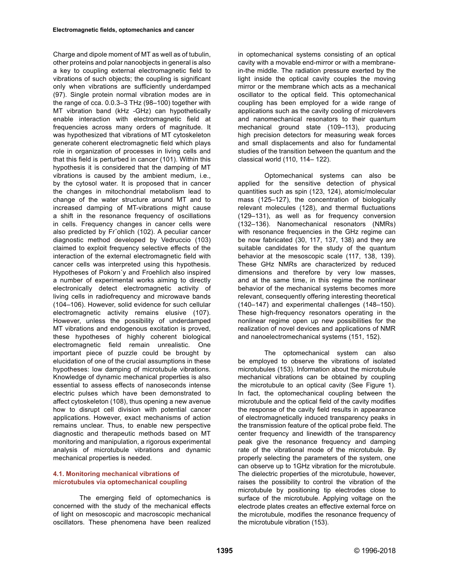Charge and dipole moment of MT as well as of tubulin, other proteins and polar nanoobjects in general is also a key to coupling external electromagnetic field to vibrations of such objects; the coupling is significant only when vibrations are sufficiently underdamped (97). Single protein normal vibration modes are in the range of cca. 0.0.3–3 THz (98–100) together with MT vibration band (kHz -GHz) can hypothetically enable interaction with electromagnetic field at frequencies across many orders of magnitude. It was hypothesized that vibrations of MT cytoskeleton generate coherent electromagnetic field which plays role in organization of processes in living cells and that this field is perturbed in cancer (101). Within this hypothesis it is considered that the damping of MT vibrations is caused by the ambient medium, i.e., by the cytosol water. It is proposed that in cancer the changes in mitochondrial metabolism lead to change of the water structure around MT and to increased damping of MT-vibrations might cause a shift in the resonance frequency of oscillations in cells. Frequency changes in cancer cells were also predicted by Fr¨ohlich (102). A peculiar cancer diagnostic method developed by Vedruccio (103) claimed to exploit frequency selective effects of the interaction of the external electromagnetic field with cancer cells was interpreted using this hypothesis. Hypotheses of Pokorn´y and Froehlich also inspired a number of experimental works aiming to directly electronically detect electromagnetic activity of living cells in radiofrequency and microwave bands (104–106). However, solid evidence for such cellular electromagnetic activity remains elusive (107). However, unless the possibility of underdamped MT vibrations and endogenous excitation is proved, these hypotheses of highly coherent biological electromagnetic field remain unrealistic. One important piece of puzzle could be brought by elucidation of one of the crucial assumptions in these hypotheses: low damping of microtubule vibrations. Knowledge of dynamic mechanical properties is also essential to assess effects of nanoseconds intense electric pulses which have been demonstrated to affect cytoskeleton (108), thus opening a new avenue how to disrupt cell division with potential cancer applications. However, exact mechanisms of action remains unclear. Thus, to enable new perspective diagnostic and therapeutic methods based on MT monitoring and manipulation, a rigorous experimental analysis of microtubule vibrations and dynamic mechanical properties is needed.

#### **4.1. Monitoring mechanical vibrations of microtubules via optomechanical coupling**

The emerging field of optomechanics is concerned with the study of the mechanical effects of light on mesoscopic and macroscopic mechanical oscillators. These phenomena have been realized in optomechanical systems consisting of an optical cavity with a movable end-mirror or with a membranein-the middle. The radiation pressure exerted by the light inside the optical cavity couples the moving mirror or the membrane which acts as a mechanical oscillator to the optical field. This optomechanical coupling has been employed for a wide range of applications such as the cavity cooling of microlevers and nanomechanical resonators to their quantum mechanical ground state (109–113), producing high precision detectors for measuring weak forces and small displacements and also for fundamental studies of the transition between the quantum and the classical world (110, 114– 122).

Optomechanical systems can also be applied for the sensitive detection of physical quantities such as spin (123, 124), atomic/molecular mass (125–127), the concentration of biologically relevant molecules (128), and thermal fluctuations (129–131), as well as for frequency conversion (132–136). Nanomechanical resonators (NMRs) with resonance frequencies in the GHz regime can be now fabricated (30, 117, 137, 138) and they are suitable candidates for the study of the quantum behavior at the mesoscopic scale (117, 138, 139). These GHz NMRs are characterized by reduced dimensions and therefore by very low masses, and at the same time, in this regime the nonlinear behavior of the mechanical systems becomes more relevant, consequently offering interesting theoretical (140–147) and experimental challenges (148–150). These high-frequency resonators operating in the nonlinear regime open up new possibilities for the realization of novel devices and applications of NMR and nanoelectromechanical systems (151, 152).

The optomechanical system can also be employed to observe the vibrations of isolated microtubules (153). Information about the microtubule mechanical vibrations can be obtained by coupling the microtubule to an optical cavity (See Figure 1). In fact, the optomechanical coupling between the microtubule and the optical field of the cavity modifies the response of the cavity field results in appearance of electromagnetically induced transparency peaks in the transmission feature of the optical probe field. The center frequency and linewidth of the transparency peak give the resonance frequency and damping rate of the vibrational mode of the microtubule. By properly selecting the parameters of the system, one can observe up to 1GHz vibration for the microtubule. The dielectric properties of the microtubule, however, raises the possibility to control the vibration of the microtubule by positioning tip electrodes close to surface of the microtubule. Applying voltage on the electrode plates creates an effective external force on the microtubule, modifies the resonance frequency of the microtubule vibration (153).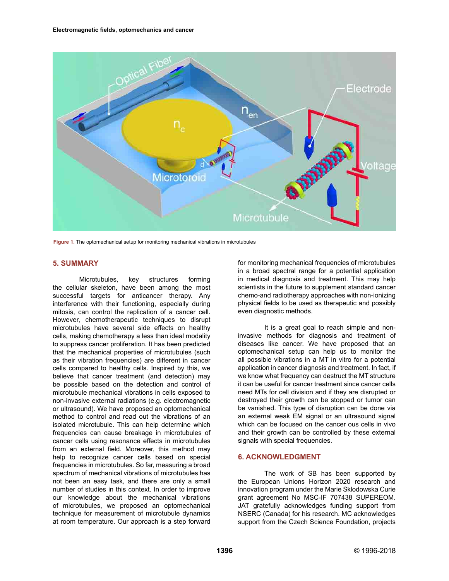

**Figure 1.** The optomechanical setup for monitoring mechanical vibrations in microtubules

#### **5. SUMMARY**

Microtubules, key structures forming the cellular skeleton, have been among the most successful targets for anticancer therapy. Any interference with their functioning, especially during mitosis, can control the replication of a cancer cell. However, chemotherapeutic techniques to disrupt microtubules have several side effects on healthy cells, making chemotherapy a less than ideal modality to suppress cancer proliferation. It has been predicted that the mechanical properties of microtubules (such as their vibration frequencies) are different in cancer cells compared to healthy cells. Inspired by this, we believe that cancer treatment (and detection) may be possible based on the detection and control of microtubule mechanical vibrations in cells exposed to non-invasive external radiations (e.g. electromagnetic or ultrasound). We have proposed an optomechanical method to control and read out the vibrations of an isolated microtubule. This can help determine which frequencies can cause breakage in microtubules of cancer cells using resonance effects in microtubules from an external field. Moreover, this method may help to recognize cancer cells based on special frequencies in microtubules. So far, measuring a broad spectrum of mechanical vibrations of microtubules has not been an easy task, and there are only a small number of studies in this context. In order to improve our knowledge about the mechanical vibrations of microtubules, we proposed an optomechanical technique for measurement of microtubule dynamics at room temperature. Our approach is a step forward

for monitoring mechanical frequencies of microtubules in a broad spectral range for a potential application in medical diagnosis and treatment. This may help scientists in the future to supplement standard cancer chemo-and radiotherapy approaches with non-ionizing physical fields to be used as therapeutic and possibly even diagnostic methods.

It is a great goal to reach simple and noninvasive methods for diagnosis and treatment of diseases like cancer. We have proposed that an optomechanical setup can help us to monitor the all possible vibrations in a MT in vitro for a potential application in cancer diagnosis and treatment. In fact, if we know what frequency can destruct the MT structure it can be useful for cancer treatment since cancer cells need MTs for cell division and if they are disrupted or destroyed their growth can be stopped or tumor can be vanished. This type of disruption can be done via an external weak EM signal or an ultrasound signal which can be focused on the cancer ous cells in vivo and their growth can be controlled by these external signals with special frequencies.

## **6. ACKNOWLEDGMENT**

The work of SB has been supported by the European Unions Horizon 2020 research and innovation program under the Marie Sklodowska Curie grant agreement No MSC-IF 707438 SUPEREOM. JAT gratefully acknowledges funding support from NSERC (Canada) for his research. MC acknowledges support from the Czech Science Foundation, projects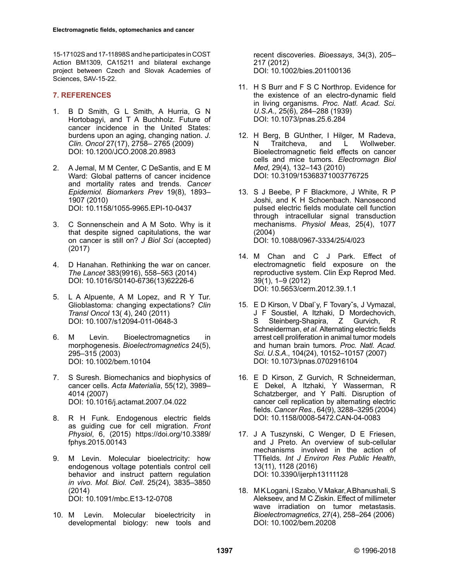15-17102S and 17-11898S and he participates in COST Action BM1309, CA15211 and bilateral exchange project between Czech and Slovak Academies of Sciences, SAV-15-22.

# **7. REFERENCES**

- 1. B D Smith, G L Smith, A Hurria, G N Hortobagyi, and T A Buchholz. Future of cancer incidence in the United States: burdens upon an aging, changing nation. *J. Clin. Oncol* 27(17), 2758– 2765 (2009) [DOI: 10.1200/JCO.2008.20.8983](https://doi.org/10.1200/JCO.2008.20.8983)
- 2. A Jemal, M M Center, C DeSantis, and E M Ward: Global patterns of cancer incidence and mortality rates and trends. *Cancer Epidemiol. Biomarkers Prev* 19(8), 1893– 1907 (2010) [DOI: 10.1158/1055-9965.EPI-10-0437](https://doi.org/10.1158/1055-9965.EPI-10-0437)
- 3. C Sonnenschein and A M Soto. Why is it that despite signed capitulations, the war on cancer is still on? *J Biol Sci* (accepted) (2017)
- 4. D Hanahan. Rethinking the war on cancer. *The Lancet* 383(9916), 558–563 (2014) [DOI: 10.1016/S0140-6736\(13\)62226-6](https://doi.org/10.1016/S0140-6736(13)62226-6)
- 5. L A Alpuente, A M Lopez, and R Y Tur. Glioblastoma: changing expectations? *Clin Transl Oncol* 13( 4), 240 (2011) [DOI: 10.1007/s12094-011-0648-3](https://doi.org/10.1007/s12094-011-0648-3)
- 6. M Levin. Bioelectromagnetics in morphogenesis. *Bioelectromagnetics* 24(5), 295–315 (2003) [DOI: 10.1002/bem.10104](https://doi.org/10.1002/bem.10104)
- 7. S Suresh. Biomechanics and biophysics of cancer cells. *Acta Materialia*, 55(12), 3989– 4014 (2007) [DOI: 10.1016/j.actamat.2007.04.022](https://doi.org/10.1016/j.actamat.2007.04.022)
- 8. R H Funk. Endogenous electric fields as guiding cue for cell migration. *Front Physiol*, 6, (2015) https://doi.org/10.3389/ fphys.2015.00143
- 9. M Levin. Molecular bioelectricity: how endogenous voltage potentials control cell behavior and instruct pattern regulation *in vivo*. *Mol. Biol. Cell*. 25(24), 3835–3850 (2014) [DOI: 10.1091/mbc.E13-12-0708](https://doi.org/10.1091/mbc.E13-12-0708)
- 10. M Levin. Molecular bioelectricity in developmental biology: new tools and

recent discoveries. *Bioessays*, 34(3), 205– 217 (2012) [DOI: 10.1002/bies.201100136](https://doi.org/10.1002/bies.201100136)

- 11. H S Burr and F S C Northrop. Evidence for the existence of an electro-dynamic field in living organisms. *Proc. Natl. Acad. Sci. U.S.A.,* 25(6), 284–288 (1939) [DOI: 10.1073/pnas.25.6.284](https://doi.org/10.1073/pnas.25.6.284)
- 12. H Berg, B GUnther, I Hilger, M Radeva, N Traitcheva, and L Wollweber. Bioelectromagnetic field effects on cancer cells and mice tumors. *Electromagn Biol Med*, 29(4), 132–143 (2010) [DOI: 10.3109/15368371003776725](https://doi.org/10.3109/15368371003776725)
- 13. S J Beebe, P F Blackmore, J White, R P Joshi, and K H Schoenbach. Nanosecond pulsed electric fields modulate cell function through intracellular signal transduction mechanisms. *Physiol Meas*, 25(4), 1077 (2004) [DOI: 10.1088/0967-3334/25/4/023](https://doi.org/10.1088/0967-3334/25/4/023)
- 14. M Chan and C J Park. Effect of electromagnetic field exposure on the reproductive system. Clin Exp Reprod Med. 39(1), 1–9 (2012) [DOI: 10.5653/cerm.2012.39.1.1](https://doi.org/10.5653/cerm.2012.39.1.1)
- 15. E D Kirson, V Dbal`y, F Tovaryˇs, J Vymazal, J F Soustiel, A Itzhaki, D Mordechovich, Steinberg-Shapira, Z Gurvich, R Schneiderman, *et al.* Alternating electric fields arrest cell proliferation in animal tumor models and human brain tumors. *Proc. Natl. Acad. Sci. U.S.A*., 104(24), 10152–10157 (2007) [DOI: 10.1073/pnas.0702916104](https://doi.org/10.1073/pnas.0702916104)
- 16. E D Kirson, Z Gurvich, R Schneiderman, E Dekel, A Itzhaki, Y Wasserman, R Schatzberger, and Y Palti. Disruption of cancer cell replication by alternating electric fields. *Cancer Res.*, 64(9), 3288–3295 (2004) [DOI: 10.1158/0008-5472.CAN-04-0083](https://doi.org/10.1158/0008-5472.CAN-04-0083)
- 17. J A Tuszynski, C Wenger, D E Friesen, and J Preto. An overview of sub-cellular mechanisms involved in the action of TTfields. *Int J Environ Res Public Health*, 13(11), 1128 (2016) [DOI: 10.3390/ijerph13111128](https://doi.org/10.3390/ijerph13111128)
- 18. M K Logani, I Szabo, V Makar, A Bhanushali, S Alekseev, and M C Ziskin. Effect of millimeter wave irradiation on tumor metastasis. *Bioelectromagnetics*, 27(4), 258–264 (2006) [DOI: 10.1002/bem.20208](https://doi.org/10.1002/bem.20208)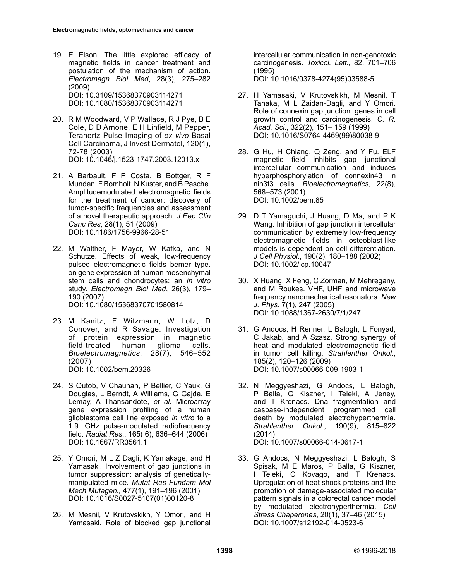- 19. E Elson. The little explored efficacy of magnetic fields in cancer treatment and postulation of the mechanism of action. *Electromagn Biol Med*, 28(3), 275–282 (2009) [DOI: 10.3109/15368370903114271](https://doi.org/10.3109/15368370903114271) DOI: 10.1080/15368370903114271
- 20. R M Woodward, V P Wallace, R J Pye, B E Cole, D D Arnone, E H Linfield, M Pepper, Terahertz Pulse Imaging of *ex vivo* Basal Cell Carcinoma, J Invest Dermatol, 120(1), 72-78 (2003) DOI: 10.1046/j.1523-1747.2003.12013.x
- 21. A Barbault, F P Costa, B Bottger, R F Munden, F Bomholt, N Kuster, and B Pasche. Amplitudemodulated electromagnetic fields for the treatment of cancer: discovery of tumor-specific frequencies and assessment of a novel therapeutic approach. *J Eep Clin Canc Res*, 28(1), 51 (2009) [DOI: 10.1186/1756-9966-28-51](https://doi.org/10.1186/1756-9966-28-51)
- 22. M Walther, F Mayer, W Kafka, and N Schutze. Effects of weak, low-frequency pulsed electromagnetic fields bemer type. on gene expression of human mesenchymal stem cells and chondrocytes: an *in vitro* study. *Electromagn Biol Med*, 26(3), 179– 190 (2007) [DOI: 10.1080/15368370701580814](https://doi.org/10.1080/15368370701580814)
- 23. M Kanitz, F Witzmann, W Lotz, D Conover, and R Savage. Investigation of protein expression in magnetic field-treated human glioma cells. *Bioelectromagnetics*, 28(7), 546–552 (2007) [DOI: 10.1002/bem.20326](https://doi.org/10.1002/bem.20326)
- 24. S Qutob, V Chauhan, P Bellier, C Yauk, G Douglas, L Berndt, A Williams, G Gajda, E Lemay, A Thansandote, *et al.* Microarray gene expression profiling of a human glioblastoma cell line exposed *in vitro* to a 1.9. GHz pulse-modulated radiofrequency field. *Radiat Res*., 165( 6), 636–644 (2006) [DOI: 10.1667/RR3561.1](https://doi.org/10.1667/RR3561.1)
- 25. Y Omori, M L Z Dagli, K Yamakage, and H Yamasaki. Involvement of gap junctions in tumor suppression: analysis of geneticallymanipulated mice. *Mutat Res Fundam Mol Mech Mutagen.,* 477(1), 191–196 (2001) [DOI: 10.1016/S0027-5107\(01\)00120-8](https://doi.org/10.1016/S0027-5107(01)00120-8)
- 26. M Mesnil, V Krutovskikh, Y Omori, and H Yamasaki. Role of blocked gap junctional

intercellular communication in non-genotoxic carcinogenesis. *Toxicol. Lett*., 82, 701–706 (1995) [DOI: 10.1016/0378-4274\(95\)03588-5](https://doi.org/10.1016/0378-4274(95)03588-5)

- 27. H Yamasaki, V Krutovskikh, M Mesnil, T Tanaka, M L Zaidan-Dagli, and Y Omori. Role of connexin gap junction. genes in cell growth control and carcinogenesis. *C. R. Acad. Sci*., 322(2), 151– 159 (1999) [DOI: 10.1016/S0764-4469\(99\)80038-9](https://doi.org/10.1016/S0764-4469(99)80038-9)
- 28. G Hu, H Chiang, Q Zeng, and Y Fu. ELF magnetic field inhibits gap junctional intercellular communication and induces hyperphosphorylation of connexin43 in nih3t3 cells. *Bioelectromagnetics*, 22(8), 568–573 (2001) [DOI: 10.1002/bem.85](https://doi.org/10.1002/bem.85)
- 29. D T Yamaguchi, J Huang, D Ma, and P K Wang. Inhibition of gap junction intercellular communication by extremely low-frequency electromagnetic fields in osteoblast-like models is dependent on cell differentiation. *J Cell Physiol*., 190(2), 180–188 (2002) [DOI: 10.1002/jcp.10047](https://doi.org/10.1002/jcp.10047)
- 30. X Huang, X Feng, C Zorman, M Mehregany, and M Roukes. VHF, UHF and microwave frequency nanomechanical resonators. *New J. Phys.* 7(1), 247 (2005) [DOI: 10.1088/1367-2630/7/1/247](https://doi.org/10.1088/1367-2630/7/1/247)
- 31. G Andocs, H Renner, L Balogh, L Fonyad, C Jakab, and A Szasz. Strong synergy of heat and modulated electromagnetic field in tumor cell killing. *Strahlenther Onkol*., 185(2), 120–126 (2009) [DOI: 10.1007/s00066-009-1903-1](https://doi.org/10.1007/s00066-009-1903-1)
- 32. N Meggyeshazi, G Andocs, L Balogh, P Balla, G Kiszner, I Teleki, A Jeney, and T Krenacs. Dna fragmentation and caspase-independent programmed cell death by modulated electrohyperthermia. *Strahlenther Onkol*., 190(9), 815–822 (2014) [DOI: 10.1007/s00066-014-0617-1](https://doi.org/10.1007/s00066-014-0617-1)
- 33. G Andocs, N Meggyeshazi, L Balogh, S Spisak, M E Maros, P Balla, G Kiszner, I Teleki, C Kovago, and T Krenacs. Upregulation of heat shock proteins and the promotion of damage-associated molecular pattern signals in a colorectal cancer model by modulated electrohyperthermia. *Cell Stress Chaperones*, 20(1), 37–46 (2015) [DOI: 10.1007/s12192-014-0523-6](https://doi.org/10.1007/s12192-014-0523-6)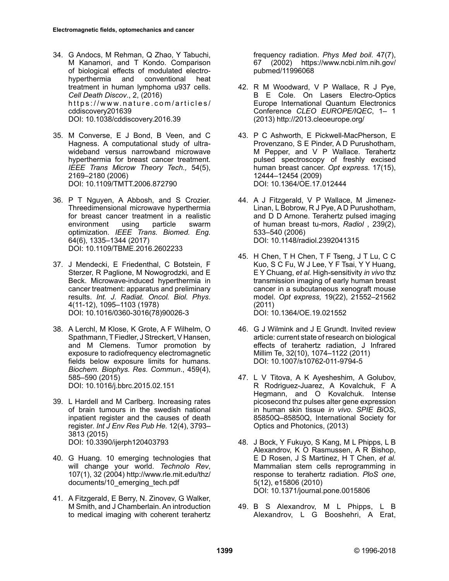- 34. G Andocs, M Rehman, Q Zhao, Y Tabuchi, M Kanamori, and T Kondo. Comparison of biological effects of modulated electrohyperthermia and conventional heat treatment in human lymphoma u937 cells. *Cell Death Discov*., 2, (2016) https://www.nature.com/articles/ cddiscovery201639 DOI: 10.1038/cddiscovery.2016.39
- 35. M Converse, E J Bond, B Veen, and C Hagness. A computational study of ultrawideband versus narrowband microwave hyperthermia for breast cancer treatment. *IEEE Trans Microw Theory Tech.,* 54(5), 2169–2180 (2006) [DOI: 10.1109/TMTT.2006.872790](https://doi.org/10.1109/TMTT.2006.872790)
- 36. P T Nguyen, A Abbosh, and S Crozier. Threedimensional microwave hyperthermia for breast cancer treatment in a realistic<br>environment using particle swarm environment using particle swarm optimization. *IEEE Trans. Biomed. Eng.* 64(6), 1335–1344 (2017) [DOI: 10.1109/TBME.2016.2602233](https://doi.org/10.1109/TBME.2016.2602233)
- 37. J Mendecki, E Friedenthal, C Botstein, F Sterzer, R Paglione, M Nowogrodzki, and E Beck. Microwave-induced hyperthermia in cancer treatment: apparatus and preliminary results. *Int. J. Radiat. Oncol. Biol. Phys*. 4(11-12), 1095–1103 (1978) [DOI: 10.1016/0360-3016\(78\)90026-3](https://doi.org/10.1016/0360-3016(78)90026-3)
- 38. A Lerchl, M Klose, K Grote, A F Wilhelm, O Spathmann, T Fiedler, J Streckert, V Hansen, and M Clemens. Tumor promotion by exposure to radiofrequency electromagnetic fields below exposure limits for humans. *Biochem. Biophys. Res. Commun*., 459(4), 585–590 (2015) [DOI: 10.1016/j.bbrc.2015.02.151](https://doi.org/10.1016/j.bbrc.2015.02.151)
- 39. L Hardell and M Carlberg. Increasing rates of brain tumours in the swedish national inpatient register and the causes of death register. *Int J Env Res Pub He.* 12(4), 3793– 3813 (2015) [DOI: 10.3390/ijerph120403793](https://doi.org/10.3390/ijerph120403793%20)
- 40. G Huang. 10 emerging technologies that will change your world. *Technolo Rev*, 107(1), 32 (2004) http://www.rle.mit.edu/thz/ documents/10\_emerging\_tech.pdf
- 41. A Fitzgerald, E Berry, N. Zinovev, G Walker, M Smith, and J Chamberlain. An introduction to medical imaging with coherent terahertz

frequency radiation. *Phys Med boil*. 47(7), 67 (2002) https://www.ncbi.nlm.nih.gov/ pubmed/11996068

- 42. R M Woodward, V P Wallace, R J Pye, B E Cole. On Lasers Electro-Optics Europe International Quantum Electronics Conference *CLEO EUROPE/IQEC*, 1– 1 (2013) <http://2013.cleoeurope.org/>
- 43. P C Ashworth, E Pickwell-MacPherson, E Provenzano, S E Pinder, A D Purushotham, M Pepper, and V P Wallace. Terahertz pulsed spectroscopy of freshly excised human breast cancer. *Opt express.* 17(15), 12444–12454 (2009) [DOI: 10.1364/OE.17.012444](https://doi.org/10.1364/OE.17.012444)
- 44. A J Fitzgerald, V P Wallace, M Jimenez-Linan, L Bobrow, R J Pye, A D Purushotham, and D D Arnone. Terahertz pulsed imaging of human breast tu-mors, *Radiol* , 239(2), 533–540 (2006) [DOI: 10.1148/radiol.2392041315](https://doi.org/10.1148/radiol.2392041315)
- 45. H Chen, T H Chen, T F Tseng, J T Lu, C C Kuo, S C Fu, W J Lee, Y F Tsai, Y Y Huang, E Y Chuang, *et al.* High-sensitivity *in vivo* thz transmission imaging of early human breast cancer in a subcutaneous xenograft mouse model. *Opt express,* 19(22), 21552–21562 (2011) [DOI: 10.1364/OE.19.021552](https://doi.org/10.1364/OE.19.021552)
- 46. G J Wilmink and J E Grundt. Invited review article: current state of research on biological effects of terahertz radiation, J Infrared Millim Te, 32(10), 1074–1122 (2011) [DOI: 10.1007/s10762-011-9794-5](https://doi.org/10.1007/s10762-011-9794-5)
- 47. L V Titova, A K Ayesheshim, A Golubov, R Rodriguez-Juarez, A Kovalchuk, F A Hegmann, and O Kovalchuk. Intense picosecond thz pulses alter gene expression in human skin tissue *in vivo*. *SPIE BiOS*, 85850Q–85850Q, International Society for Optics and Photonics, (2013)
- 48. J Bock, Y Fukuyo, S Kang, M L Phipps, L B Alexandrov, K O Rasmussen, A R Bishop, E D Rosen, J S Martinez, H T Chen, *et al.* Mammalian stem cells reprogramming in response to terahertz radiation. *PloS one*, 5(12), e15806 (2010) [DOI: 10.1371/journal.pone.0015806](https://doi.org/10.1371/journal.pone.0015806)
- 49. B S Alexandrov, M L Phipps, L B Alexandrov, L G Booshehri, A Erat,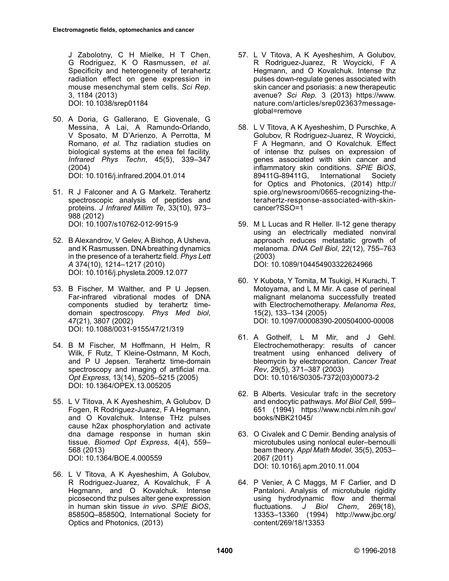J Zabolotny, C H Mielke, H T Chen, G Rodriguez, K O Rasmussen, *et al.* Specificity and heterogeneity of terahertz radiation effect on gene expression in mouse mesenchymal stem cells. *Sci Rep*. 3, 1184 (2013) [DOI: 10.1038/srep01184](https://doi.org/10.1038/srep01184)

- 50. A Doria, G Gallerano, E Giovenale, G Messina, A Lai, A Ramundo-Orlando, V Sposato, M D'Arienzo, A Perrotta, M Romano, *et al.* Thz radiation studies on biological systems at the enea fel facility. *Infrared Phys Techn*, 45(5), 339–347 (2004) [DOI: 10.1016/j.infrared.2004.01.014](https://doi.org/10.1016/j.infrared.2004.01.014)
- 51. R J Falconer and A G Markelz. Terahertz spectroscopic analysis of peptides and proteins. *J Infrared Millim Te*, 33(10), 973– 988 (2012) [DOI: 10.1007/s10762-012-9915-9](https://doi.org/10.1007/s10762-012-9915-9)
- 52. B Alexandrov, V Gelev, A Bishop, A Usheva, and K Rasmussen. DNA breathing dynamics in the presence of a terahertz field. *Phys Lett A* 374(10), 1214–1217 (2010) [DOI: 10.1016/j.physleta.2009.12.077](https://doi.org/10.1016/j.physleta.2009.12.077)
- 53. B Fischer, M Walther, and P U Jepsen. Far-infrared vibrational modes of DNA components studied by terahertz timedomain spectroscopy. *Phys Med biol*, 47(21), 3807 (2002) [DOI: 10.1088/0031-9155/47/21/319](https://doi.org/10.1088/0031-9155/47/21/319)
- 54. B M Fischer, M Hoffmann, H Helm, R Wilk, F Rutz, T Kleine-Ostmann, M Koch, and P U Jepsen. Terahertz time-domain spectroscopy and imaging of artificial rna. *Opt Express*, 13(14), 5205–5215 (2005) [DOI: 10.1364/OPEX.13.005205](https://doi.org/10.1364/OPEX.13.005205)
- 55. L V Titova, A K Ayesheshim, A Golubov, D Fogen, R Rodriguez-Juarez, F A Hegmann, and O Kovalchuk. Intense THz pulses cause h2ax phosphorylation and activate dna damage response in human skin tissue. *Biomed Opt Express*, 4(4), 559– 568 (2013) [DOI: 10.1364/BOE.4.000559](https://doi.org/10.1364/BOE.4.000559)
- 56. L V Titova, A K Ayesheshim, A Golubov, R Rodriguez-Juarez, A Kovalchuk, F A Hegmann, and O Kovalchuk. Intense picosecond thz pulses alter gene expression in human skin tissue *in vivo*. *SPIE BiOS*, 85850Q–85850Q, International Society for Optics and Photonics, (2013)
- 57. L V Titova, A K Ayesheshim, A Golubov, R Rodriguez-Juarez, R Woycicki, F A Hegmann, and O Kovalchuk. Intense thz pulses down-regulate genes associated with skin cancer and psoriasis: a new therapeutic avenue? *Sci Rep.* 3 (2013) https://www. nature.com/articles/srep02363?messageglobal=remove
- 58. L V Titova, A K Ayesheshim, D Purschke, A Golubov, R Rodriguez-Juarez, R Woycicki, F A Hegmann, and O Kovalchuk. Effect of intense thz pulses on expression of genes associated with skin cancer and inflammatory skin conditions. *SPIE BiOS*, 89411G-89411G, International Society for Optics and Photonics, (2014) http:// spie.org/newsroom/0665-recognizing-theterahertz-response-associated-with-skincancer?SSO=1
- 59. M L Lucas and R Heller. Il-12 gene therapy using an electrically mediated nonviral approach reduces metastatic growth of melanoma. *DNA Cell Biol*, 22(12), 755–763 (2003) [DOI: 10.1089/104454903322624966](https://doi.org/10.1089/104454903322624966)
- 60. Y Kubota, Y Tomita, M Tsukigi, H Kurachi, T Motoyama, and L M Mir. A case of perineal malignant melanoma successfully treated with Electrochemotherapy. *Melanoma Res*, 15(2), 133–134 (2005) [DOI: 10.1097/00008390-200504000-00008](https://doi.org/10.1097/00008390-200504000-00008)
- 61. A Gothelf, L M Mir, and J Gehl. Electrochemotherapy: results of cancer treatment using enhanced delivery of bleomycin by electroporation. *Cancer Treat Rev*, 29(5), 371–387 (2003) [DOI: 10.1016/S0305-7372\(03\)00073-2](https://doi.org/10.1016/S0305-7372(03)00073-2)
- 62. B Alberts. Vesicular trafc in the secretory and endocytic pathways. *Mol Biol Cell*, 599– 651 (1994) https://www.ncbi.nlm.nih.gov/ books/NBK21045/
- 63. O Civalek and C Demir. Bending analysis of microtubules using nonlocal euler–bernoulli beam theory. *Appl Math Model,* 35(5), 2053– 2067 (2011) [DOI: 10.1016/j.apm.2010.11.004](https://doi.org/10.1016/j.apm.2010.11.004)
- 64. P Venier, A C Maggs, M F Carlier, and D Pantaloni. Analysis of microtubule rigidity using hydrodynamic flow and thermal fluctuations. *J Biol Chem*, 269(18), 13353–13360 (1994) http://www.jbc.org/ content/269/18/13353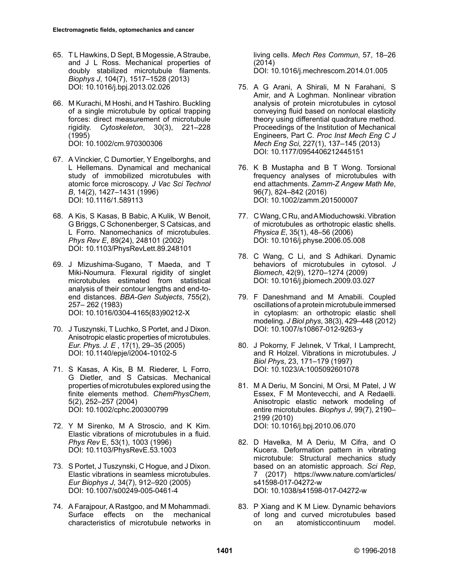- 65. T L Hawkins, D Sept, B Mogessie, A Straube, and J L Ross. Mechanical properties of doubly stabilized microtubule filaments. *Biophys J*, 104(7), 1517–1528 (2013) [DOI: 10.1016/j.bpj.2013.02.026](https://doi.org/10.1016/j.bpj.2013.02.026)
- 66. M Kurachi, M Hoshi, and H Tashiro. Buckling of a single microtubule by optical trapping forces: direct measurement of microtubule rigidity. *Cytoskeleton*, 30(3), 221–228 (1995) [DOI: 10.1002/cm.970300306](https://doi.org/10.1002/cm.970300306)
- 67. A Vinckier, C Dumortier, Y Engelborghs, and L Hellemans. Dynamical and mechanical study of immobilized microtubules with atomic force microscopy. *J Vac Sci Technol B*, 14(2), 1427–1431 (1996) [DOI: 10.1116/1.589113](https://doi.org/10.1116/1.589113)
- 68. A Kis, S Kasas, B Babic, A Kulik, W Benoit, G Briggs, C Schonenberger, S Catsicas, and L Forro. Nanomechanics of microtubules. *Phys Rev E*, 89(24), 248101 (2002) [DOI: 10.1103/PhysRevLett.89.248101](https://doi.org/10.1103/PhysRevLett.89.248101)
- 69. J Mizushima-Sugano, T Maeda, and T Miki-Noumura. Flexural rigidity of singlet microtubules estimated from statistical analysis of their contour lengths and end-toend distances. *BBA-Gen Subjects*, 755(2), 257– 262 (1983) [DOI: 10.1016/0304-4165\(83\)90212-X](https://doi.org/10.1016/0304-4165(83)90212-X)
- 70. J Tuszynski, T Luchko, S Portet, and J Dixon. Anisotropic elastic properties of microtubules. *Eur. Phys. J. E* , 17(1), 29–35 (2005) [DOI: 10.1140/epje/i2004-10102-5](https://doi.org/10.1140/epje/i2004-10102-5)
- 71. S Kasas, A Kis, B M. Riederer, L Forro, G Dietler, and S Catsicas. Mechanical properties of microtubules explored using the finite elements method. *ChemPhysChem*, 5(2), 252–257 (2004) [DOI: 10.1002/cphc.200300799](https://doi.org/10.1002/cphc.200300799)
- 72. Y M Sirenko, M A Stroscio, and K Kim. Elastic vibrations of microtubules in a fluid. *Phys Rev* E, 53(1), 1003 (1996) [DOI: 10.1103/PhysRevE.53.1003](https://doi.org/10.1103/PhysRevE.53.1003)
- 73. S Portet, J Tuszynski, C Hogue, and J Dixon. Elastic vibrations in seamless microtubules. *Eur Biophys J*, 34(7), 912–920 (2005) [DOI: 10.1007/s00249-005-0461-4](https://doi.org/10.1007/s00249-005-0461-4)
- 74. A Farajpour, A Rastgoo, and M Mohammadi. Surface effects on the mechanical characteristics of microtubule networks in

living cells. *Mech Res Commun*, 57, 18–26 (2014) [DOI: 10.1016/j.mechrescom.2014.01.005](https://doi.org/10.1016/j.mechrescom.2014.01.005)

- 75. A G Arani, A Shirali, M N Farahani, S Amir, and A Loghman. Nonlinear vibration analysis of protein microtubules in cytosol conveying fluid based on nonlocal elasticity theory using differential quadrature method. Proceedings of the Institution of Mechanical Engineers, Part C. *Proc Inst Mech Eng C J Mech Eng Sci*, 227(1), 137–145 (2013) [DOI: 10.1177/0954406212445151](https://doi.org/10.1177/0954406212445151)
- 76. K B Mustapha and B T Wong. Torsional frequency analyses of microtubules with end attachments. *Zamm-Z Angew Math Me*, 96(7), 824–842 (2016) [DOI: 10.1002/zamm.201500007](https://doi.org/10.1002/zamm.201500007)
- 77. C Wang, C Ru, and A Mioduchowski. Vibration of microtubules as orthotropic elastic shells. *Physica E*, 35(1), 48–56 (2006) [DOI: 10.1016/j.physe.2006.05.008](https://doi.org/10.1016/j.physe.2006.05.008)
- 78. C Wang, C Li, and S Adhikari. Dynamic behaviors of microtubules in cytosol. *J Biomech*, 42(9), 1270–1274 (2009) [DOI: 10.1016/j.jbiomech.2009.03.027](https://doi.org/10.1016/j.jbiomech.2009.03.027)
- 79. F Daneshmand and M Amabili. Coupled oscillations of a protein microtubule immersed in cytoplasm: an orthotropic elastic shell modeling. *J Biol phys*, 38(3), 429–448 (2012) [DOI: 10.1007/s10867-012-9263-y](https://doi.org/10.1007/s10867-012-9263-y)
- 80. J Pokorny, F Jelınek, V Trkal, I Lamprecht, and R Holzel. Vibrations in microtubules. *J Biol Phys*, 23, 171–179 (1997) [DOI: 10.1023/A:1005092601078](https://doi.org/10.1023/A:1005092601078)
- 81. M A Deriu, M Soncini, M Orsi, M Patel, J W Essex, F M Montevecchi, and A Redaelli. Anisotropic elastic network modeling of entire microtubules. *Biophys J*, 99(7), 2190– 2199 (2010) [DOI: 10.1016/j.bpj.2010.06.070](https://doi.org/10.1016/j.bpj.2010.06.070)
- 82. D Havelka, M A Deriu, M Cifra, and O Kucera. Deformation pattern in vibrating microtubule: Structural mechanics study based on an atomistic approach. *Sci Rep*, 7 (2017) [https://www.nature.com/articles/](https://www.nature.com/articles/s41598-017-04272-w) [s41598-017-04272-w](https://www.nature.com/articles/s41598-017-04272-w) [DOI: 10.1038/s41598-017-04272-w](http://doi.org/10.1038/s41598-017-04272-w)
- 83. P Xiang and K M Liew. Dynamic behaviors of long and curved microtubules based on an atomisticcontinuum model.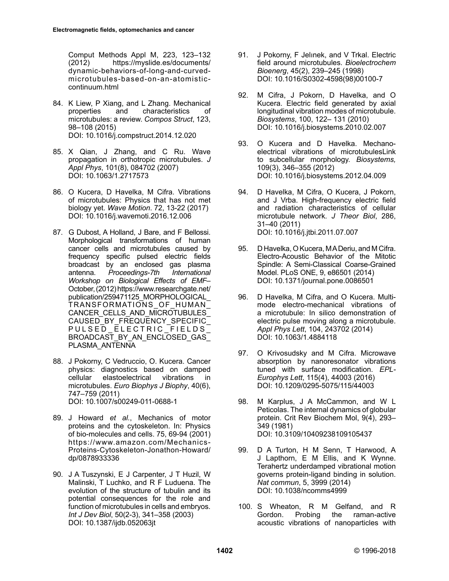Comput Methods Appl M, 223, 123–132 (2012) https://myslide.es/documents/ dynamic-behaviors-of-long-and-curvedmicrotubules-based-on-an-atomisticcontinuum.html

- 84. K Liew, P Xiang, and L Zhang. Mechanical properties and characteristics of microtubules: a review. *Compos Struct*, 123, 98–108 (2015) [DOI: 10.1016/j.compstruct.2014.12.020](https://doi.org/10.1016/j.compstruct.2014.12.020)
- 85. X Qian, J Zhang, and C Ru. Wave propagation in orthotropic microtubules. *J Appl Phys*, 101(8), 084702 (2007) [DOI: 10.1063/1.2717573](https://doi.org/10.1063/1.2717573)
- 86. O Kucera, D Havelka, M Cifra. Vibrations of microtubules: Physics that has not met biology yet. *Wave Motion*. 72, 13-22 (2017) [DOI: 10.1016/j.wavemoti.2016.12.006](https://doi.org/10.1016/j.wavemoti.2016.12.006)
- 87. G Dubost, A Holland, J Bare, and F Bellossi. Morphological transformations of human cancer cells and microtubules caused by frequency specific pulsed electric fields broadcast by an enclosed gas plasma antenna. *Proceedings-7th International Workshop on Biological Effects of EMF*– October, (2012) https://www.researchgate.net/ publication/259471125\_MORPHOLOGICAL\_ TRANSFORMATIONS\_OF\_HUMAN\_ CANCER\_CELLS\_AND\_MICROTUBULES\_ CAUSED\_BY\_FREQUENCY\_SPECIFIC\_ PULSED\_ELECTRIC\_FIELDS\_ BROADCAST\_BY\_AN\_ENCLOSED\_GAS\_ PLASMA\_ANTENNA
- 88. J Pokorny, C Vedruccio, O. Kucera. Cancer physics: diagnostics based on damped cellular elastoelectrical vibrations in microtubules. *Euro Biophys J Biophy*, 40(6), 747–759 (2011) [DOI: 10.1007/s00249-011-0688-1](https://doi.org/10.1007/s00249-011-0688-1)
- 89. J Howard *et al.*, Mechanics of motor proteins and the cytoskeleton. In: Physics of bio-molecules and cells. 75, 69-94 (2001) https://www.amazon.com/Mechanics-Proteins-Cytoskeleton-Jonathon-Howard/ dp/0878933336
- 90. J A Tuszynski, E J Carpenter, J T Huzil, W Malinski, T Luchko, and R F Luduena. The evolution of the structure of tubulin and its potential consequences for the role and function of microtubules in cells and embryos. *Int J Dev Biol*, 50(2-3), 341–358 (2003) [DOI: 10.1387/ijdb.052063jt](https://doi.org/10.1387/ijdb.052063jt)
- 91. J Pokorny, F Jelınek, and V Trkal. Electric field around microtubules. *Bioelectrochem Bioenerg*, 45(2), 239–245 (1998) [DOI: 10.1016/S0302-4598\(98\)00100-7](https://doi.org/10.1016/S0302-4598(98)00100-7)
- 92. M Cifra, J Pokorn, D Havelka, and O Kucera. Electric field generated by axial longitudinal vibration modes of microtubule. *Biosystems*, 100, 122– 131 (2010) [DOI: 10.1016/j.biosystems.2010.02.007](https://doi.org/10.1016/j.biosystems.2010.02.007)
- 93. O Kucera and D Havelka. Mechanoelectrical vibrations of microtubulesLink to subcellular morphology. *Biosystems,* 109(3), 346–355 (2012) [DOI: 10.1016/j.biosystems.2012.04.009](https://doi.org/10.1016/j.biosystems.2012.04.009)
- 94. D Havelka, M Cifra, O Kucera, J Pokorn, and J Vrba. High-frequency electric field and radiation characteristics of cellular microtubule network. *J Theor Biol*, 286, 31–40 (2011) [DOI: 10.1016/j.jtbi.2011.07.007](https://doi.org/10.1016/j.jtbi.2011.07.007)
- 95. D Havelka, O Kucera, M A Deriu, and M Cifra. Electro-Acoustic Behavior of the Mitotic Spindle: A Semi-Classical Coarse-Grained Model. PLoS ONE, 9, e86501 (2014) [DOI: 10.1371/journal.pone.0086501](https://doi.org/10.1371/journal.pone.0086501)
- 96. D Havelka, M Cifra, and O Kucera. Multimode electro-mechanical vibrations of a microtubule: In silico demonstration of electric pulse moving along a microtubule. *Appl Phys Lett*, 104, 243702 (2014) [DOI: 10.1063/1.4884118](https://doi.org/10.1063/1.4884118)
- 97. O Krivosudsky and M Cifra. Microwave absorption by nanoresonator vibrations tuned with surface modification. *EPL-Europhys Lett*, 115(4), 44003 (2016) [DOI: 10.1209/0295-5075/115/44003](https://doi.org/10.1209/0295-5075/115/44003)
- 98. M Karplus, J A McCammon, and W L Peticolas. The internal dynamics of globular protein. Crit Rev Biochem Mol, 9(4), 293– 349 (1981) [DOI: 10.3109/10409238109105437](https://doi.org/10.3109/10409238109105437)
- 99. D A Turton, H M Senn, T Harwood, A J Lapthorn, E M Ellis, and K Wynne. Terahertz underdamped vibrational motion governs protein-ligand binding in solution. *Nat commun*, 5, 3999 (2014) [DOI: 10.1038/ncomms4999](https://doi.org/10.1038/ncomms4999)
- 100. S Wheaton, R M Gelfand, and R Gordon. Probing the raman-active acoustic vibrations of nanoparticles with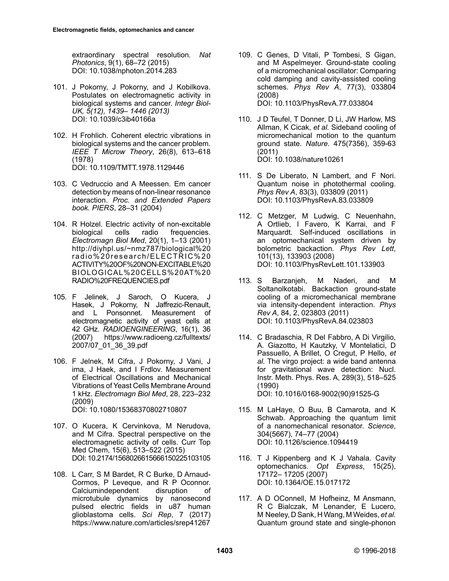extraordinary spectral resolution*. Nat Photonics*, 9(1), 68–72 (2015) [DOI: 10.1038/nphoton.2014.283](https://doi.org/10.1038/nphoton.2014.283)

- 101. J Pokorny, J Pokorny, and J Kobilkova. Postulates on electromagnetic activity in biological systems and cancer. *Integr Biol-UK, 5(12), 1439– 1446 (2013)*  [DOI: 10.1039/c3ib40166a](https://doi.org/10.1039/c3ib40166a)
- 102. H Frohlich. Coherent electric vibrations in biological systems and the cancer problem. *IEEE T Microw Theory*, 26(8), 613–618 (1978) [DOI: 10.1109/TMTT.1978.1129446](https://doi.org/10.1109/TMTT.1978.1129446)
- 103. C Vedruccio and A Meessen. Em cancer detection by means of non-linear resonance interaction. *Proc. and Extended Papers book. PIERS*, 28–31 (2004)
- 104. R Holzel. Electric activity of non-excitable biological cells radio frequencies. *Electromagn Biol Med*, 20(1), 1–13 (2001) http://diyhpl.us/~nmz787/biological%20 radio%20research/ELECTRIC%20 ACTIVITY%20OF%20NON-EXCITABLE%20 BIOLOGICAL%20CELLS%20AT%20 RADIO%20FREQUENCIES.pdf
- 105. F Jelinek, J Saroch, O Kucera, J Hasek, J Pokorny, N Jaffrezic-Renault, and L Ponsonnet. Measurement of electromagnetic activity of yeast cells at 42 GHz. *RADIOENGINEERING*, 16(1), 36 (2007) https://www.radioeng.cz/fulltexts/ 2007/07\_01\_36\_39.pdf
- 106. F Jelnek, M Cifra, J Pokorny, J Vani, J ima, J Haek, and I Frdlov. Measurement of Electrical Oscillations and Mechanical Vibrations of Yeast Cells Membrane Around 1 kHz. *Electromagn Biol Med*, 28, 223–232 (2009) [DOI: 10.1080/15368370802710807](https://doi.org/10.1080/15368370802710807)
- 107. O Kucera, K Cervinkova, M Nerudova,
- and M Cifra. Spectral perspective on the electromagnetic activity of cells. Curr Top Med Chem, 15(6), 513–522 (2015) [DOI: 10.2174/1568026615666150225103105](https://doi.org/10.2174/1568026615666150225103105)
- 108. L Carr, S M Bardet, R C Burke, D Arnaud-Cormos, P Leveque, and R P Oconnor. Calciumindependent disruption of microtubule dynamics by nanosecond pulsed electric fields in u87 human glioblastoma cells. *Sci Rep*, 7 (2017) https://www.nature.com/articles/srep41267
- 109. C Genes, D Vitali, P Tombesi, S Gigan, and M Aspelmeyer. Ground-state cooling of a micromechanical oscillator: Comparing cold damping and cavity-assisted cooling schemes. *Phys Rev A*, 77(3), 033804 (2008) [DOI: 10.1103/PhysRevA.77.033804](https://doi.org/10.1103/PhysRevA.77.033804)
- 110. J D Teufel, T Donner, D Li, JW Harlow, MS Allman, K Cicak, *et al.* Sideband cooling of micromechanical motion to the quantum ground state. *Nature*. 475(7356), 359-63 (2011) [DOI: 10.1038/nature10261](https://doi.org/10.1038/nature10261)
- 111. S De Liberato, N Lambert, and F Nori. Quantum noise in photothermal cooling. *Phys Rev A*, 83(3), 033809 (2011) [DOI: 10.1103/PhysRevA.83.033809](https://doi.org/10.1103/PhysRevA.83.033809)
- 112. C Metzger, M Ludwig, C Neuenhahn, A Ortlieb, I Favero, K Karrai, and F Marquardt. Self-induced oscillations in an optomechanical system driven by bolometric backaction*. Phys Rev Lett*, 101(13), 133903 (2008) [DOI: 10.1103/PhysRevLett.101.133903](https://doi.org/10.1103/PhysRevLett.101.133903)
- 113. S Barzanjeh, M Naderi, and M Soltanolkotabi. Backaction ground-state cooling of a micromechanical membrane via intensity-dependent interaction. *Phys Rev A*, 84, 2, 023803 (2011) [DOI: 10.1103/PhysRevA.84.023803](https://doi.org/10.1103/PhysRevA.84.023803)
- 114. C Bradaschia, R Del Fabbro, A Di Virgilio, A. Giazotto, H Kautzky, V Montelatici, D Passuello, A Brillet, O Cregut, P Hello, *et al.* The virgo project: a wide band antenna for gravitational wave detection: Nucl. Instr. Meth. Phys. Res. A, 289(3), 518–525 (1990) [DOI: 10.1016/0168-9002\(90\)91525-G](https://doi.org/10.1016/0168-9002(90)91525-G)
- 115. M LaHaye, O Buu, B Camarota, and K Schwab. Approaching the quantum limit of a nanomechanical resonator. *Science*, 304(5667), 74–77 (2004) [DOI: 10.1126/science.1094419](https://doi.org/10.1126/science.1094419)
- 116. T J Kippenberg and K J Vahala. Cavity optomechanics. *Opt Express*, 15(25), 17172– 17205 (2007) [DOI: 10.1364/OE.15.017172](https://doi.org/10.1364/OE.15.017172)
- 117. A D OConnell, M Hofheinz, M Ansmann, R C Bialczak, M Lenander, E Lucero, M Neeley, D Sank, H Wang, M Weides, *et al.* Quantum ground state and single-phonon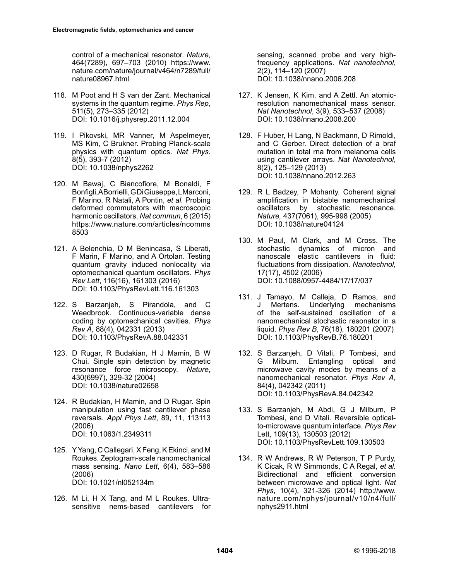control of a mechanical resonator. *Nature*, 464(7289), 697–703 (2010) https://www. nature.com/nature/journal/v464/n7289/full/ nature08967.html

- 118. M Poot and H S van der Zant. Mechanical systems in the quantum regime. *Phys Rep*, 511(5), 273–335 (2012) [DOI: 10.1016/j.physrep.2011.12.004](https://doi.org/10.1016/j.physrep.2011.12.004)
- 119. I Pikovski, MR Vanner, M Aspelmeyer, MS Kim, C Brukner. Probing Planck-scale physics with quantum optics. *Nat Phys*. 8(5), 393-7 (2012) [DOI: 10.1038/nphys2262](https://doi.org/10.1038/nphys2262)
- 120. M Bawaj, C Biancofiore, M Bonaldi, F Bonfigli, A Borrielli, GDi Giuseppe, L Marconi, F Marino, R Natali, A Pontin, *et al.* Probing deformed commutators with macroscopic harmonic oscillators. *Nat commun*, 6 (2015) https://www.nature.com/articles/ncomms 8503
- 121. A Belenchia, D M Benincasa, S Liberati, F Marin, F Marino, and A Ortolan. Testing quantum gravity induced nonlocality via optomechanical quantum oscillators. *Phys Rev Lett*, 116(16), 161303 (2016) [DOI: 10.1103/PhysRevLett.116.161303](https://doi.org/10.1103/PhysRevLett.116.161303)
- 122. S Barzanjeh, S Pirandola, and C Weedbrook. Continuous-variable dense coding by optomechanical cavities. *Phys Rev A*, 88(4), 042331 (2013) [DOI: 10.1103/PhysRevA.88.042331](https://doi.org/10.1103/PhysRevA.88.042331)
- 123. D Rugar, R Budakian, H J Mamin, B W Chui. Single spin detection by magnetic resonance force microscopy. *Nature*, 430(6997), 329-32 (2004) [DOI: 10.1038/nature02658](https://doi.org/10.1038/nature02658)
- 124. R Budakian, H Mamin, and D Rugar. Spin manipulation using fast cantilever phase reversals. *Appl Phys Lett*, 89, 11, 113113 (2006) [DOI: 10.1063/1.2349311](https://doi.org/10.1063/1.2349311)
- 125. Y Yang, C Callegari, X Feng, K Ekinci, and M Roukes. Zeptogram-scale nanomechanical mass sensing. *Nano Lett*, 6(4), 583–586 (2006) [DOI: 10.1021/nl052134m](https://doi.org/10.1021/nl052134m)
- 126. M Li, H X Tang, and M L Roukes. Ultrasensitive nems-based cantilevers for

sensing, scanned probe and very highfrequency applications. *Nat nanotechnol*, 2(2), 114–120 (2007) [DOI: 10.1038/nnano.2006.208](https://doi.org/10.1038/nnano.2006.208)

- 127. K Jensen, K Kim, and A Zettl. An atomicresolution nanomechanical mass sensor. *Nat Nanotechnol*, 3(9), 533–537 (2008) [DOI: 10.1038/nnano.2008.200](https://doi.org/10.1038/nnano.2008.200)
- 128. F Huber, H Lang, N Backmann, D Rimoldi, and C Gerber. Direct detection of a braf mutation in total rna from melanoma cells using cantilever arrays. *Nat Nanotechnol*, 8(2), 125–129 (2013) [DOI: 10.1038/nnano.2012.263](https://doi.org/10.1038/nnano.2012.263)
- 129. R L Badzey, P Mohanty. Coherent signal amplification in bistable nanomechanical oscillators by stochastic resonance. *Nature,* 437(7061), 995-998 (2005) [DOI: 10.1038/nature04124](https://doi.org/10.1038/nature04124)
- 130. M Paul, M Clark, and M Cross. The stochastic dynamics of micron and nanoscale elastic cantilevers in fluid: fluctuations from dissipation. *Nanotechnol,* 17(17), 4502 (2006) [DOI: 10.1088/0957-4484/17/17/037](https://doi.org/10.1088/0957-4484/17/17/037)
- 131. J Tamayo, M Calleja, D Ramos, and J Mertens. Underlying mechanisms of the self-sustained oscillation of a nanomechanical stochastic resonator in a liquid. *Phys Rev B*, 76(18), 180201 (2007) [DOI: 10.1103/PhysRevB.76.180201](https://doi.org/10.1103/PhysRevB.76.180201)
- 132. S Barzanjeh, D Vitali, P Tombesi, and G Milburn. Entangling optical and microwave cavity modes by means of a nanomechanical resonator. *Phys Rev A*, 84(4), 042342 (2011) [DOI: 10.1103/PhysRevA.84.042342](https://doi.org/10.1103/PhysRevA.84.042342)
- 133. S Barzanjeh, M Abdi, G J Milburn, P Tombesi, and D Vitali. Reversible opticalto-microwave quantum interface. *Phys Rev* Lett, 109(13), 130503 (2012) [DOI: 10.1103/PhysRevLett.109.130503](https://doi.org/10.1103/PhysRevLett.109.130503)
- 134. R W Andrews, R W Peterson, T P Purdy, K Cicak, R W Simmonds, C A Regal, *et al.* Bidirectional and efficient conversion between microwave and optical light. *Nat Phys*, 10(4), 321-326 (2014) http://www. nature.com/nphys/journal/v10/n4/full/ nphys2911.html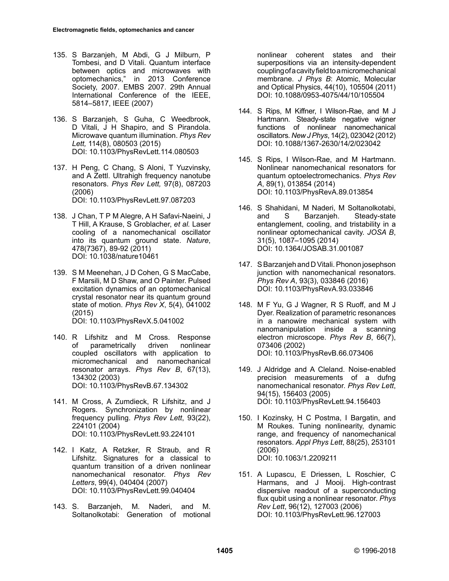- 135. S Barzanjeh, M Abdi, G J Milburn, P Tombesi, and D Vitali. Quantum interface between optics and microwaves with optomechanics," in 2013 Conference Society, 2007. EMBS 2007. 29th Annual International Conference of the IEEE, 5814–5817, IEEE (2007)
- 136. S Barzanjeh, S Guha, C Weedbrook, D Vitali, J H Shapiro, and S Pirandola. Microwave quantum illumination. *Phys Rev Lett,* 114(8), 080503 (2015) [DOI: 10.1103/PhysRevLett.114.080503](https://doi.org/10.1103/PhysRevLett.114.080503)
- 137. H Peng, C Chang, S Aloni, T Yuzvinsky, and A Zettl. Ultrahigh frequency nanotube resonators. *Phys Rev Lett,* 97(8), 087203 (2006) [DOI: 10.1103/PhysRevLett.97.087203](https://doi.org/10.1103/PhysRevLett.97.087203)
- 138. J Chan, T P M Alegre, A H Safavi-Naeini, J T Hill, A Krause, S Groblacher, *et al.* Laser cooling of a nanomechanical oscillator into its quantum ground state. *Nature*, 478(7367), 89-92 (2011) [DOI: 10.1038/nature10461](https://doi.org/10.1038/nature10461)
- 139. S M Meenehan, J D Cohen, G S MacCabe, F Marsili, M D Shaw, and O Painter. Pulsed excitation dynamics of an optomechanical crystal resonator near its quantum ground state of motion. *Phys Rev X*, 5(4), 041002 (2015) [DOI: 10.1103/PhysRevX.5.041002](https://doi.org/10.1103/PhysRevX.5.041002)
- 140. R Lifshitz and M Cross. Response<br>of parametrically driven nonlinear parametrically driven nonlinear coupled oscillators with application to micromechanical and nanomechanical resonator arrays. *Phys Rev B*, 67(13), 134302 (2003) [DOI: 10.1103/PhysRevB.67.134302](https://doi.org/10.1103/PhysRevB.67.134302)
- 141. M Cross, A Zumdieck, R Lifshitz, and J Rogers. Synchronization by nonlinear frequency pulling. *Phys Rev Lett*, 93(22), 224101 (2004) [DOI: 10.1103/PhysRevLett.93.224101](https://doi.org/10.1103/PhysRevLett.93.224101)
- 142. I Katz, A Retzker, R Straub, and R Lifshitz. Signatures for a classical to quantum transition of a driven nonlinear nanomechanical resonator. *Phys Rev Letters*, 99(4), 040404 (2007) [DOI: 10.1103/PhysRevLett.99.040404](https://doi.org/10.1103/PhysRevLett.99.040404)
- 143. S. Barzanjeh, M. Naderi, and M. Soltanolkotabi: Generation of motional

nonlinear coherent states and their superpositions via an intensity-dependent coupling of a cavity field to a micromechanical membrane. *J Phys B*: Atomic, Molecular and Optical Physics, 44(10), 105504 (2011) [DOI: 10.1088/0953-4075/44/10/105504](https://doi.org/10.1088/0953-4075/44/10/105504)

- 144. S Rips, M Kiffner, I Wilson-Rae, and M J Hartmann. Steady-state negative wigner functions of nonlinear nanomechanical oscillators*. New J Phys*, 14(2), 023042 (2012) [DOI: 10.1088/1367-2630/14/2/023042](https://doi.org/10.1088/1367-2630/14/2/023042)
- 145. S Rips, I Wilson-Rae, and M Hartmann. Nonlinear nanomechanical resonators for quantum optoelectromechanics. *Phys Rev A*, 89(1), 013854 (2014) [DOI: 10.1103/PhysRevA.89.013854](https://doi.org/10.1103/PhysRevA.89.013854)
- 146. S Shahidani, M Naderi, M Soltanolkotabi, and S Barzanjeh. Steady-state entanglement, cooling, and tristability in a nonlinear optomechanical cavity. *JOSA B*, 31(5), 1087–1095 (2014) [DOI: 10.1364/JOSAB.31.001087](https://doi.org/10.1364/JOSAB.31.001087)
- 147. S Barzanjeh and D Vitali. Phonon josephson junction with nanomechanical resonators. *Phys Rev A*, 93(3), 033846 (2016) [DOI: 10.1103/PhysRevA.93.033846](https://doi.org/10.1103/PhysRevA.93.033846)
- 148. M F Yu, G J Wagner, R S Ruoff, and M J Dyer. Realization of parametric resonances in a nanowire mechanical system with nanomanipulation inside a scanning electron microscope. *Phys Rev B*, 66(7), 073406 (2002) [DOI: 10.1103/PhysRevB.66.073406](https://doi.org/10.1103/PhysRevB.66.073406)
- 149. J Aldridge and A Cleland. Noise-enabled precision measurements of a dufng nanomechanical resonator. *Phys Rev Lett*, 94(15), 156403 (2005) [DOI: 10.1103/PhysRevLett.94.156403](https://doi.org/10.1103/PhysRevLett.94.156403)
- 150. I Kozinsky, H C Postma, I Bargatin, and M Roukes. Tuning nonlinearity, dynamic range, and frequency of nanomechanical resonators. *Appl Phys Lett*, 88(25), 253101 (2006) [DOI: 10.1063/1.2209211](https://doi.org/10.1063/1.2209211)
- 151. A Lupascu, E Driessen, L Roschier, C Harmans, and J Mooij. High-contrast dispersive readout of a superconducting flux qubit using a nonlinear resonator. *Phys Rev Lett*, 96(12), 127003 (2006) [DOI: 10.1103/PhysRevLett.96.127003](https://doi.org/10.1103/PhysRevLett.96.127003)